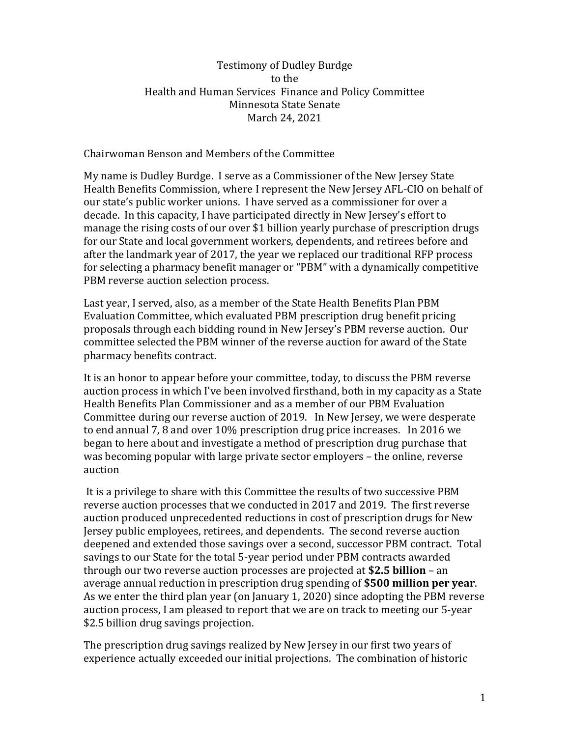## Testimony of Dudley Burdge to the Health and Human Services Finance and Policy Committee Minnesota State Senate March 24, 2021

## Chairwoman Benson and Members of the Committee

My name is Dudley Burdge. I serve as a Commissioner of the New Jersey State Health Benefits Commission, where I represent the New Jersey AFL-CIO on behalf of our state's public worker unions. I have served as a commissioner for over a decade. In this capacity, I have participated directly in New Jersey's effort to manage the rising costs of our over \$1 billion yearly purchase of prescription drugs for our State and local government workers, dependents, and retirees before and after the landmark year of 2017, the year we replaced our traditional RFP process for selecting a pharmacy benefit manager or "PBM" with a dynamically competitive PBM reverse auction selection process.

Last year, I served, also, as a member of the State Health Benefits Plan PBM Evaluation Committee, which evaluated PBM prescription drug benefit pricing proposals through each bidding round in New Jersey's PBM reverse auction. Our committee selected the PBM winner of the reverse auction for award of the State pharmacy benefits contract.

It is an honor to appear before your committee, today, to discuss the PBM reverse auction process in which I've been involved firsthand, both in my capacity as a State Health Benefits Plan Commissioner and as a member of our PBM Evaluation Committee during our reverse auction of 2019. In New Jersey, we were desperate to end annual 7, 8 and over 10% prescription drug price increases. In 2016 we began to here about and investigate a method of prescription drug purchase that was becoming popular with large private sector employers – the online, reverse auction

It is a privilege to share with this Committee the results of two successive PBM reverse auction processes that we conducted in 2017 and 2019. The first reverse auction produced unprecedented reductions in cost of prescription drugs for New Jersey public employees, retirees, and dependents. The second reverse auction deepened and extended those savings over a second, successor PBM contract. Total savings to our State for the total 5-year period under PBM contracts awarded through our two reverse auction processes are projected at **\$2.5 billion** – an average annual reduction in prescription drug spending of **\$500 million per year**. As we enter the third plan year (on January 1, 2020) since adopting the PBM reverse auction process, I am pleased to report that we are on track to meeting our 5-year \$2.5 billion drug savings projection.

The prescription drug savings realized by New Jersey in our first two years of experience actually exceeded our initial projections. The combination of historic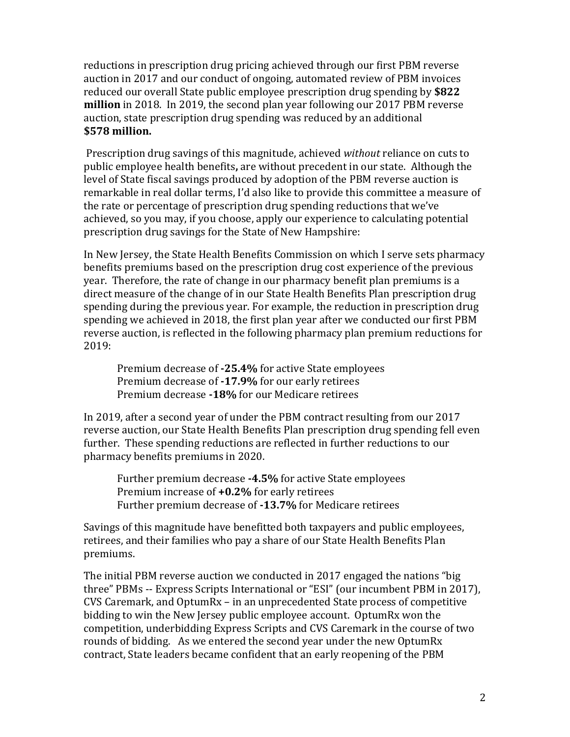reductions in prescription drug pricing achieved through our first PBM reverse auction in 2017 and our conduct of ongoing, automated review of PBM invoices reduced our overall State public employee prescription drug spending by **\$822 million** in 2018. In 2019, the second plan year following our 2017 PBM reverse auction, state prescription drug spending was reduced by an additional **\$578 million.**

Prescription drug savings of this magnitude, achieved *without* reliance on cuts to public employee health benefits**,** are without precedent in our state. Although the level of State fiscal savings produced by adoption of the PBM reverse auction is remarkable in real dollar terms, I'd also like to provide this committee a measure of the rate or percentage of prescription drug spending reductions that we've achieved, so you may, if you choose, apply our experience to calculating potential prescription drug savings for the State of New Hampshire:

In New Jersey, the State Health Benefits Commission on which I serve sets pharmacy benefits premiums based on the prescription drug cost experience of the previous year. Therefore, the rate of change in our pharmacy benefit plan premiums is a direct measure of the change of in our State Health Benefits Plan prescription drug spending during the previous year. For example, the reduction in prescription drug spending we achieved in 2018, the first plan year after we conducted our first PBM reverse auction, is reflected in the following pharmacy plan premium reductions for 2019:

Premium decrease of **-25.4%** for active State employees Premium decrease of **-17.9%** for our early retirees Premium decrease **-18%** for our Medicare retirees

In 2019, after a second year of under the PBM contract resulting from our 2017 reverse auction, our State Health Benefits Plan prescription drug spending fell even further. These spending reductions are reflected in further reductions to our pharmacy benefits premiums in 2020.

Further premium decrease **-4.5%** for active State employees Premium increase of **+0.2%** for early retirees Further premium decrease of **-13.7%** for Medicare retirees

Savings of this magnitude have benefitted both taxpayers and public employees, retirees, and their families who pay a share of our State Health Benefits Plan premiums.

The initial PBM reverse auction we conducted in 2017 engaged the nations "big three" PBMs -- Express Scripts International or "ESI" (our incumbent PBM in 2017), CVS Caremark, and OptumRx – in an unprecedented State process of competitive bidding to win the New Jersey public employee account. OptumRx won the competition, underbidding Express Scripts and CVS Caremark in the course of two rounds of bidding. As we entered the second year under the new OptumRx contract, State leaders became confident that an early reopening of the PBM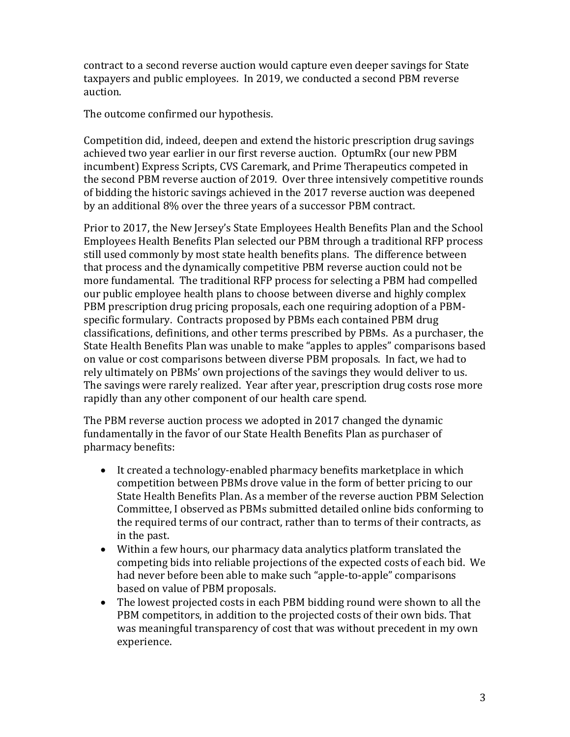contract to a second reverse auction would capture even deeper savings for State taxpayers and public employees. In 2019, we conducted a second PBM reverse auction.

The outcome confirmed our hypothesis.

Competition did, indeed, deepen and extend the historic prescription drug savings achieved two year earlier in our first reverse auction. OptumRx (our new PBM incumbent) Express Scripts, CVS Caremark, and Prime Therapeutics competed in the second PBM reverse auction of 2019. Over three intensively competitive rounds of bidding the historic savings achieved in the 2017 reverse auction was deepened by an additional 8% over the three years of a successor PBM contract.

Prior to 2017, the New Jersey's State Employees Health Benefits Plan and the School Employees Health Benefits Plan selected our PBM through a traditional RFP process still used commonly by most state health benefits plans. The difference between that process and the dynamically competitive PBM reverse auction could not be more fundamental. The traditional RFP process for selecting a PBM had compelled our public employee health plans to choose between diverse and highly complex PBM prescription drug pricing proposals, each one requiring adoption of a PBMspecific formulary. Contracts proposed by PBMs each contained PBM drug classifications, definitions, and other terms prescribed by PBMs. As a purchaser, the State Health Benefits Plan was unable to make "apples to apples" comparisons based on value or cost comparisons between diverse PBM proposals. In fact, we had to rely ultimately on PBMs' own projections of the savings they would deliver to us. The savings were rarely realized. Year after year, prescription drug costs rose more rapidly than any other component of our health care spend.

The PBM reverse auction process we adopted in 2017 changed the dynamic fundamentally in the favor of our State Health Benefits Plan as purchaser of pharmacy benefits:

- It created a technology-enabled pharmacy benefits marketplace in which competition between PBMs drove value in the form of better pricing to our State Health Benefits Plan. As a member of the reverse auction PBM Selection Committee, I observed as PBMs submitted detailed online bids conforming to the required terms of our contract, rather than to terms of their contracts, as in the past.
- Within a few hours, our pharmacy data analytics platform translated the competing bids into reliable projections of the expected costs of each bid. We had never before been able to make such "apple-to-apple" comparisons based on value of PBM proposals.
- The lowest projected costs in each PBM bidding round were shown to all the PBM competitors, in addition to the projected costs of their own bids. That was meaningful transparency of cost that was without precedent in my own experience.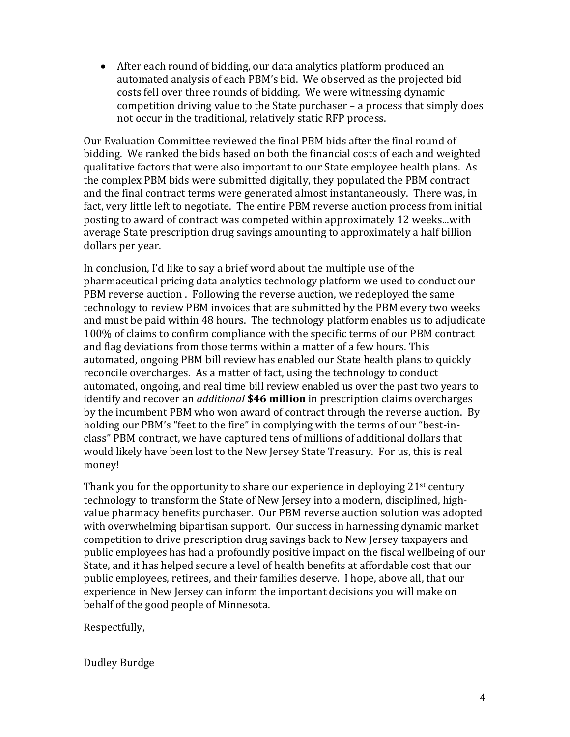• After each round of bidding, our data analytics platform produced an automated analysis of each PBM's bid. We observed as the projected bid costs fell over three rounds of bidding. We were witnessing dynamic competition driving value to the State purchaser – a process that simply does not occur in the traditional, relatively static RFP process.

Our Evaluation Committee reviewed the final PBM bids after the final round of bidding. We ranked the bids based on both the financial costs of each and weighted qualitative factors that were also important to our State employee health plans. As the complex PBM bids were submitted digitally, they populated the PBM contract and the final contract terms were generated almost instantaneously. There was, in fact, very little left to negotiate. The entire PBM reverse auction process from initial posting to award of contract was competed within approximately 12 weeks...with average State prescription drug savings amounting to approximately a half billion dollars per year.

In conclusion, I'd like to say a brief word about the multiple use of the pharmaceutical pricing data analytics technology platform we used to conduct our PBM reverse auction . Following the reverse auction, we redeployed the same technology to review PBM invoices that are submitted by the PBM every two weeks and must be paid within 48 hours. The technology platform enables us to adjudicate 100% of claims to confirm compliance with the specific terms of our PBM contract and flag deviations from those terms within a matter of a few hours. This automated, ongoing PBM bill review has enabled our State health plans to quickly reconcile overcharges. As a matter of fact, using the technology to conduct automated, ongoing, and real time bill review enabled us over the past two years to identify and recover an *additional* **\$46 million** in prescription claims overcharges by the incumbent PBM who won award of contract through the reverse auction. By holding our PBM's "feet to the fire" in complying with the terms of our "best-inclass" PBM contract, we have captured tens of millions of additional dollars that would likely have been lost to the New Jersey State Treasury. For us, this is real money!

Thank you for the opportunity to share our experience in deploying 21<sup>st</sup> century technology to transform the State of New Jersey into a modern, disciplined, highvalue pharmacy benefits purchaser. Our PBM reverse auction solution was adopted with overwhelming bipartisan support. Our success in harnessing dynamic market competition to drive prescription drug savings back to New Jersey taxpayers and public employees has had a profoundly positive impact on the fiscal wellbeing of our State, and it has helped secure a level of health benefits at affordable cost that our public employees, retirees, and their families deserve. I hope, above all, that our experience in New Jersey can inform the important decisions you will make on behalf of the good people of Minnesota.

Respectfully,

Dudley Burdge